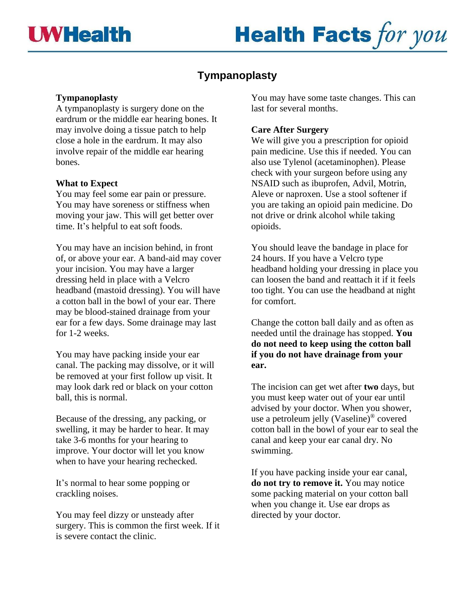# **Health Facts for you**

## **Tympanoplasty**

#### **Tympanoplasty**

A tympanoplasty is surgery done on the eardrum or the middle ear hearing bones. It may involve doing a tissue patch to help close a hole in the eardrum. It may also involve repair of the middle ear hearing bones.

#### **What to Expect**

You may feel some ear pain or pressure. You may have soreness or stiffness when moving your jaw. This will get better over time. It's helpful to eat soft foods.

You may have an incision behind, in front of, or above your ear. A band-aid may cover your incision. You may have a larger dressing held in place with a Velcro headband (mastoid dressing). You will have a cotton ball in the bowl of your ear. There may be blood-stained drainage from your ear for a few days. Some drainage may last for 1-2 weeks.

You may have packing inside your ear canal. The packing may dissolve, or it will be removed at your first follow up visit. It may look dark red or black on your cotton ball, this is normal.

Because of the dressing, any packing, or swelling, it may be harder to hear. It may take 3-6 months for your hearing to improve. Your doctor will let you know when to have your hearing rechecked.

It's normal to hear some popping or crackling noises.

You may feel dizzy or unsteady after surgery. This is common the first week. If it is severe contact the clinic.

You may have some taste changes. This can last for several months.

#### **Care After Surgery**

We will give you a prescription for opioid pain medicine. Use this if needed. You can also use Tylenol (acetaminophen). Please check with your surgeon before using any NSAID such as ibuprofen, Advil, Motrin, Aleve or naproxen. Use a stool softener if you are taking an opioid pain medicine. Do not drive or drink alcohol while taking opioids.

You should leave the bandage in place for 24 hours. If you have a Velcro type headband holding your dressing in place you can loosen the band and reattach it if it feels too tight. You can use the headband at night for comfort.

Change the cotton ball daily and as often as needed until the drainage has stopped. **You do not need to keep using the cotton ball if you do not have drainage from your ear.**

The incision can get wet after **two** days, but you must keep water out of your ear until advised by your doctor. When you shower, use a petroleum jelly (Vaseline) ® covered cotton ball in the bowl of your ear to seal the canal and keep your ear canal dry. No swimming.

If you have packing inside your ear canal, **do not try to remove it.** You may notice some packing material on your cotton ball when you change it. Use ear drops as directed by your doctor.